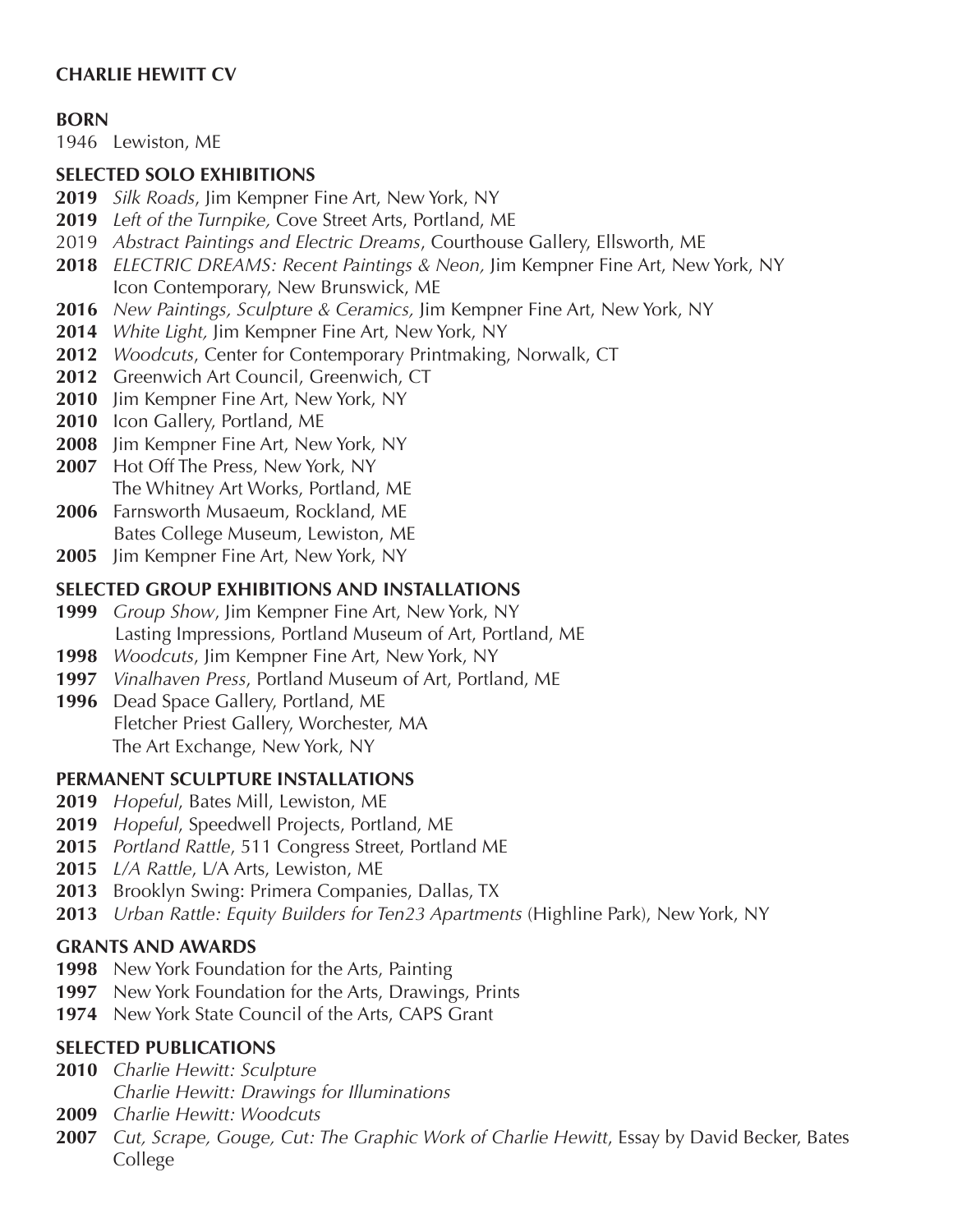# **CHARLIE HEWITT CV**

#### **BORN**

1946 Lewiston, ME

#### **SELECTED SOLO EXHIBITIONS**

- *Silk Roads*, Jim Kempner Fine Art, New York, NY
- *Left of the Turnpike,* Cove Street Arts, Portland, ME
- *Abstract Paintings and Electric Dreams*, Courthouse Gallery, Ellsworth, ME
- *ELECTRIC DREAMS: Recent Paintings & Neon,* Jim Kempner Fine Art, New York, NY Icon Contemporary, New Brunswick, ME
- *New Paintings, Sculpture & Ceramics,* Jim Kempner Fine Art, New York, NY
- *White Light,* Jim Kempner Fine Art, New York, NY
- *Woodcuts*, Center for Contemporary Printmaking, Norwalk, CT
- Greenwich Art Council, Greenwich, CT
- Jim Kempner Fine Art, New York, NY
- Icon Gallery, Portland, ME
- Jim Kempner Fine Art, New York, NY
- Hot Off The Press, New York, NY The Whitney Art Works, Portland, ME
- Farnsworth Musaeum, Rockland, ME Bates College Museum, Lewiston, ME
- Jim Kempner Fine Art, New York, NY

## **SELECTED GROUP EXHIBITIONS AND INSTALLATIONS**

- *Group Show*, Jim Kempner Fine Art, New York, NY Lasting Impressions, Portland Museum of Art, Portland, ME
- *Woodcuts*, Jim Kempner Fine Art, New York, NY
- *Vinalhaven Press*, Portland Museum of Art, Portland, ME
- Dead Space Gallery, Portland, ME Fletcher Priest Gallery, Worchester, MA The Art Exchange, New York, NY

## **PERMANENT SCULPTURE INSTALLATIONS**

- *Hopeful*, Bates Mill, Lewiston, ME
- *Hopeful*, Speedwell Projects, Portland, ME
- *Portland Rattle*, 511 Congress Street, Portland ME
- *L/A Rattle*, L/A Arts, Lewiston, ME
- Brooklyn Swing: Primera Companies, Dallas, TX
- *Urban Rattle: Equity Builders for Ten23 Apartments* (Highline Park), New York, NY

## **GRANTS AND AWARDS**

- New York Foundation for the Arts, Painting
- New York Foundation for the Arts, Drawings, Prints
- New York State Council of the Arts, CAPS Grant

## **SELECTED PUBLICATIONS**

- *Charlie Hewitt: Sculpture Charlie Hewitt: Drawings for Illuminations*
- *Charlie Hewitt: Woodcuts*
- *Cut, Scrape, Gouge, Cut: The Graphic Work of Charlie Hewitt*, Essay by David Becker, Bates College